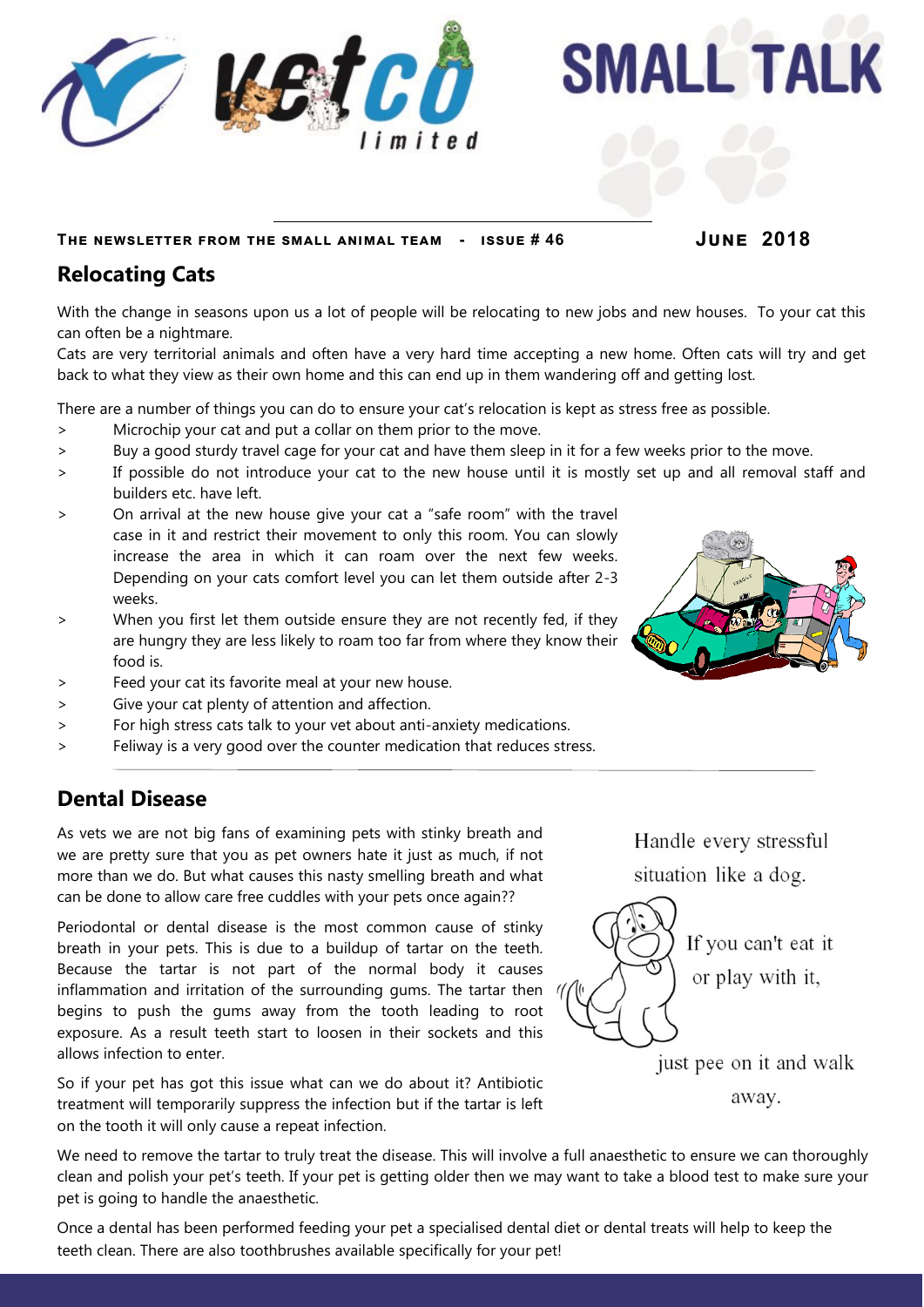

**SMALL TALK** 

**The newsletter from the small animal team - issue # 46 June 2018**

## **Relocating Cats**

With the change in seasons upon us a lot of people will be relocating to new jobs and new houses. To your cat this can often be a nightmare.

Cats are very territorial animals and often have a very hard time accepting a new home. Often cats will try and get back to what they view as their own home and this can end up in them wandering off and getting lost.

There are a number of things you can do to ensure your cat's relocation is kept as stress free as possible.

- > Microchip your cat and put a collar on them prior to the move.
- > Buy a good sturdy travel cage for your cat and have them sleep in it for a few weeks prior to the move.
- > If possible do not introduce your cat to the new house until it is mostly set up and all removal staff and builders etc. have left.
- > On arrival at the new house give your cat a "safe room" with the travel case in it and restrict their movement to only this room. You can slowly increase the area in which it can roam over the next few weeks. Depending on your cats comfort level you can let them outside after 2-3 weeks.
- > When you first let them outside ensure they are not recently fed, if they are hungry they are less likely to roam too far from where they know their food is.
- > Feed your cat its favorite meal at your new house.
- > Give your cat plenty of attention and affection.
- > For high stress cats talk to your vet about anti-anxiety medications.
- > Feliway is a very good over the counter medication that reduces stress.

## **Dental Disease**

As vets we are not big fans of examining pets with stinky breath and we are pretty sure that you as pet owners hate it just as much, if not more than we do. But what causes this nasty smelling breath and what can be done to allow care free cuddles with your pets once again??

Periodontal or dental disease is the most common cause of stinky breath in your pets. This is due to a buildup of tartar on the teeth. Because the tartar is not part of the normal body it causes inflammation and irritation of the surrounding gums. The tartar then  $\sqrt{ }$ begins to push the gums away from the tooth leading to root exposure. As a result teeth start to loosen in their sockets and this allows infection to enter.

So if your pet has got this issue what can we do about it? Antibiotic treatment will temporarily suppress the infection but if the tartar is left on the tooth it will only cause a repeat infection.

Handle every stressful situation like a dog.



just pee on it and walk

away.

We need to remove the tartar to truly treat the disease. This will involve a full anaesthetic to ensure we can thoroughly clean and polish your pet's teeth. If your pet is getting older then we may want to take a blood test to make sure your pet is going to handle the anaesthetic.

Once a dental has been performed feeding your pet a specialised dental diet or dental treats will help to keep the teeth clean. There are also toothbrushes available specifically for your pet!